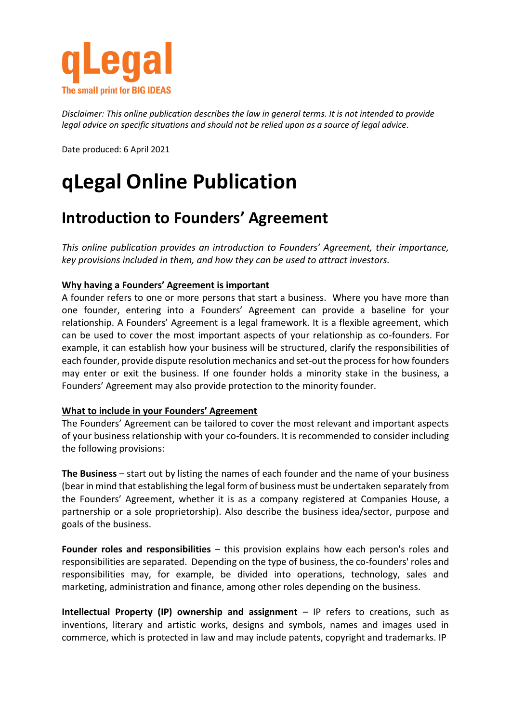

*Disclaimer: This online publication describes the law in general terms. It is not intended to provide legal advice on specific situations and should not be relied upon as a source of legal advice*.

Date produced: 6 April 2021

# **qLegal Online Publication**

## **Introduction to Founders' Agreement**

*This online publication provides an introduction to Founders' Agreement, their importance, key provisions included in them, and how they can be used to attract investors.* 

### **Why having a Founders' Agreement is important**

A founder refers to one or more persons that start a business. Where you have more than one founder, entering into a Founders' Agreement can provide a baseline for your relationship. A Founders' Agreement is a legal framework. It is a flexible agreement, which can be used to cover the most important aspects of your relationship as co-founders. For example, it can establish how your business will be structured, clarify the responsibilities of each founder, provide dispute resolution mechanics and set-out the process for how founders may enter or exit the business. If one founder holds a minority stake in the business, a Founders' Agreement may also provide protection to the minority founder.

#### **What to include in your Founders' Agreement**

The Founders' Agreement can be tailored to cover the most relevant and important aspects of your business relationship with your co-founders. It is recommended to consider including the following provisions:

**The Business** – start out by listing the names of each founder and the name of your business (bear in mind that establishing the legal form of business must be undertaken separately from the Founders' Agreement, whether it is as a company registered at Companies House, a partnership or a sole proprietorship). Also describe the business idea/sector, purpose and goals of the business.

**Founder roles and responsibilities** – this provision explains how each person's roles and responsibilities are separated. Depending on the type of business, the co-founders' roles and responsibilities may, for example, be divided into operations, technology, sales and marketing, administration and finance, among other roles depending on the business.

**Intellectual Property (IP) ownership and assignment** – IP refers to creations, such as inventions, literary and artistic works, designs and symbols, names and images used in commerce, which is protected in law and may include patents, copyright and trademarks. IP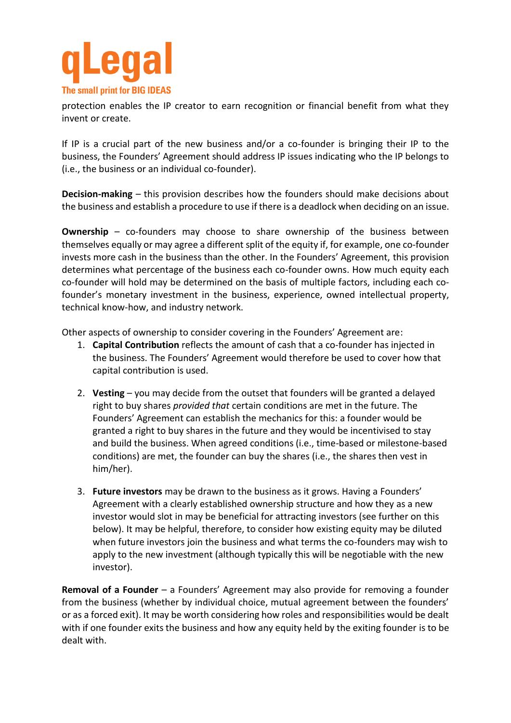

protection enables the IP creator to earn recognition or financial benefit from what they invent or create.

If IP is a crucial part of the new business and/or a co-founder is bringing their IP to the business, the Founders' Agreement should address IP issues indicating who the IP belongs to (i.e., the business or an individual co-founder).

**Decision-making** – this provision describes how the founders should make decisions about the business and establish a procedure to use if there is a deadlock when deciding on an issue.

**Ownership** – co-founders may choose to share ownership of the business between themselves equally or may agree a different split of the equity if, for example, one co-founder invests more cash in the business than the other. In the Founders' Agreement, this provision determines what percentage of the business each co-founder owns. How much equity each co-founder will hold may be determined on the basis of multiple factors, including each cofounder's monetary investment in the business, experience, owned intellectual property, technical know-how, and industry network.

Other aspects of ownership to consider covering in the Founders' Agreement are:

- 1. **Capital Contribution** reflects the amount of cash that a co-founder has injected in the business. The Founders' Agreement would therefore be used to cover how that capital contribution is used.
- 2. **Vesting** you may decide from the outset that founders will be granted a delayed right to buy shares *provided that* certain conditions are met in the future. The Founders' Agreement can establish the mechanics for this: a founder would be granted a right to buy shares in the future and they would be incentivised to stay and build the business. When agreed conditions (i.e., time-based or milestone-based conditions) are met, the founder can buy the shares (i.e., the shares then vest in him/her).
- 3. **Future investors** may be drawn to the business as it grows. Having a Founders' Agreement with a clearly established ownership structure and how they as a new investor would slot in may be beneficial for attracting investors (see further on this below). It may be helpful, therefore, to consider how existing equity may be diluted when future investors join the business and what terms the co-founders may wish to apply to the new investment (although typically this will be negotiable with the new investor).

**Removal of a Founder** – a Founders' Agreement may also provide for removing a founder from the business (whether by individual choice, mutual agreement between the founders' or as a forced exit). It may be worth considering how roles and responsibilities would be dealt with if one founder exits the business and how any equity held by the exiting founder is to be dealt with.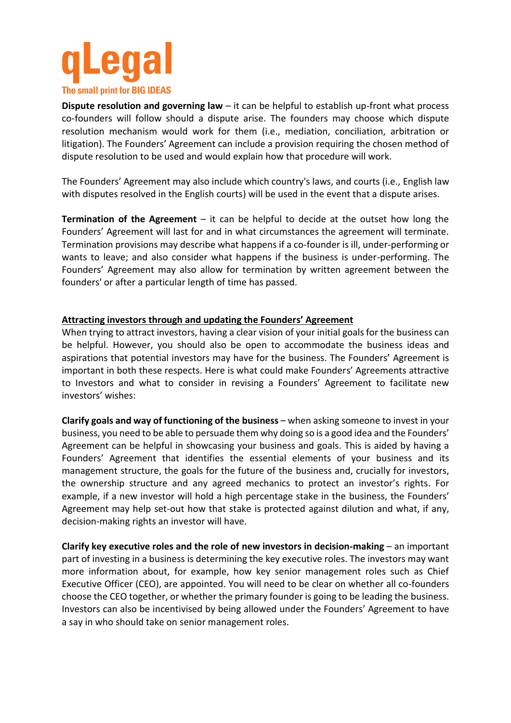

**Dispute resolution and governing law** – it can be helpful to establish up-front what process co-founders will follow should a dispute arise. The founders may choose which dispute resolution mechanism would work for them (i.e., mediation, conciliation, arbitration or litigation). The Founders' Agreement can include a provision requiring the chosen method of dispute resolution to be used and would explain how that procedure will work.

The Founders' Agreement may also include which country's laws, and courts (i.e., English law with disputes resolved in the English courts) will be used in the event that a dispute arises.

**Termination of the Agreement** – it can be helpful to decide at the outset how long the Founders' Agreement will last for and in what circumstances the agreement will terminate. Termination provisions may describe what happens if a co-founder is ill, under-performing or wants to leave; and also consider what happens if the business is under-performing. The Founders' Agreement may also allow for termination by written agreement between the founders' or after a particular length of time has passed.

#### **Attracting investors through and updating the Founders' Agreement**

When trying to attract investors, having a clear vision of your initial goals for the business can be helpful. However, you should also be open to accommodate the business ideas and aspirations that potential investors may have for the business. The Founders' Agreement is important in both these respects. Here is what could make Founders' Agreements attractive to Investors and what to consider in revising a Founders' Agreement to facilitate new investors' wishes:

**Clarify goals and way of functioning of the business** – when asking someone to invest in your business, you need to be able to persuade them why doing so is a good idea and the Founders' Agreement can be helpful in showcasing your business and goals. This is aided by having a Founders' Agreement that identifies the essential elements of your business and its management structure, the goals for the future of the business and, crucially for investors, the ownership structure and any agreed mechanics to protect an investor's rights. For example, if a new investor will hold a high percentage stake in the business, the Founders' Agreement may help set-out how that stake is protected against dilution and what, if any, decision-making rights an investor will have.

**Clarify key executive roles and the role of new investors in decision-making** – an important part of investing in a business is determining the key executive roles. The investors may want more information about, for example, how key senior management roles such as Chief Executive Officer (CEO), are appointed. You will need to be clear on whether all co-founders choose the CEO together, or whether the primary founder is going to be leading the business. Investors can also be incentivised by being allowed under the Founders' Agreement to have a say in who should take on senior management roles.